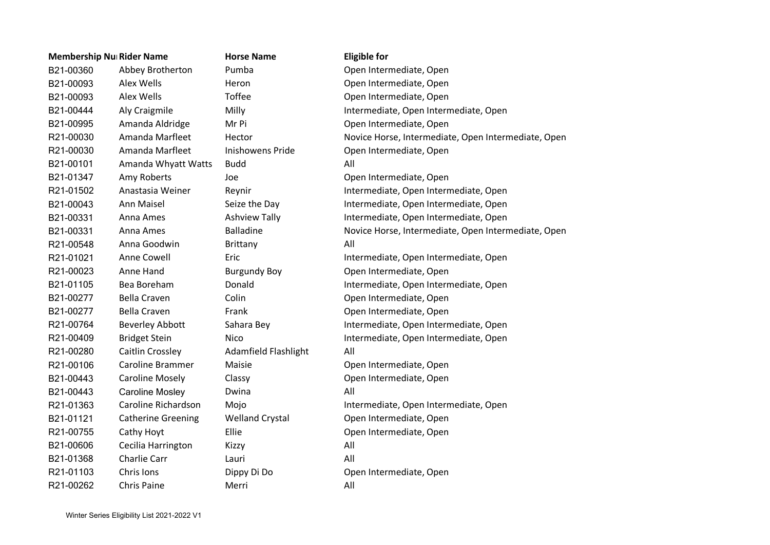| <b>Membership Nu Rider Name</b> |           |                           | <b>Horse Name</b>           | <b>Eligible for</b>                                 |  |
|---------------------------------|-----------|---------------------------|-----------------------------|-----------------------------------------------------|--|
|                                 | B21-00360 | Abbey Brotherton          | Pumba                       | Open Intermediate, Open                             |  |
|                                 | B21-00093 | Alex Wells                | Heron                       | Open Intermediate, Open                             |  |
|                                 | B21-00093 | Alex Wells                | <b>Toffee</b>               | Open Intermediate, Open                             |  |
|                                 | B21-00444 | Aly Craigmile             | Milly                       | Intermediate, Open Intermediate, Open               |  |
|                                 | B21-00995 | Amanda Aldridge           | Mr Pi                       | Open Intermediate, Open                             |  |
|                                 | R21-00030 | Amanda Marfleet           | Hector                      | Novice Horse, Intermediate, Open Intermediate, Open |  |
|                                 | R21-00030 | Amanda Marfleet           | <b>Inishowens Pride</b>     | Open Intermediate, Open                             |  |
|                                 | B21-00101 | Amanda Whyatt Watts       | <b>Budd</b>                 | All                                                 |  |
|                                 | B21-01347 | Amy Roberts               | Joe                         | Open Intermediate, Open                             |  |
|                                 | R21-01502 | Anastasia Weiner          | Reynir                      | Intermediate, Open Intermediate, Open               |  |
|                                 | B21-00043 | Ann Maisel                | Seize the Day               | Intermediate, Open Intermediate, Open               |  |
|                                 | B21-00331 | Anna Ames                 | <b>Ashview Tally</b>        | Intermediate, Open Intermediate, Open               |  |
|                                 | B21-00331 | Anna Ames                 | <b>Balladine</b>            | Novice Horse, Intermediate, Open Intermediate, Open |  |
|                                 | R21-00548 | Anna Goodwin              | <b>Brittany</b>             | All                                                 |  |
|                                 | R21-01021 | Anne Cowell               | Eric                        | Intermediate, Open Intermediate, Open               |  |
|                                 | R21-00023 | Anne Hand                 | <b>Burgundy Boy</b>         | Open Intermediate, Open                             |  |
|                                 | B21-01105 | Bea Boreham               | Donald                      | Intermediate, Open Intermediate, Open               |  |
|                                 | B21-00277 | <b>Bella Craven</b>       | Colin                       | Open Intermediate, Open                             |  |
|                                 | B21-00277 | <b>Bella Craven</b>       | Frank                       | Open Intermediate, Open                             |  |
|                                 | R21-00764 | <b>Beverley Abbott</b>    | Sahara Bey                  | Intermediate, Open Intermediate, Open               |  |
|                                 | R21-00409 | <b>Bridget Stein</b>      | <b>Nico</b>                 | Intermediate, Open Intermediate, Open               |  |
|                                 | R21-00280 | Caitlin Crossley          | <b>Adamfield Flashlight</b> | All                                                 |  |
|                                 | R21-00106 | <b>Caroline Brammer</b>   | Maisie                      | Open Intermediate, Open                             |  |
|                                 | B21-00443 | <b>Caroline Mosely</b>    | Classy                      | Open Intermediate, Open                             |  |
|                                 | B21-00443 | <b>Caroline Mosley</b>    | Dwina                       | All                                                 |  |
|                                 | R21-01363 | Caroline Richardson       | Mojo                        | Intermediate, Open Intermediate, Open               |  |
|                                 | B21-01121 | <b>Catherine Greening</b> | <b>Welland Crystal</b>      | Open Intermediate, Open                             |  |
|                                 | R21-00755 | Cathy Hoyt                | Ellie                       | Open Intermediate, Open                             |  |
|                                 | B21-00606 | Cecilia Harrington        | Kizzy                       | All                                                 |  |
|                                 | B21-01368 | <b>Charlie Carr</b>       | Lauri                       | All                                                 |  |
|                                 | R21-01103 | Chris Ions                | Dippy Di Do                 | Open Intermediate, Open                             |  |
|                                 | R21-00262 | <b>Chris Paine</b>        | Merri                       | All                                                 |  |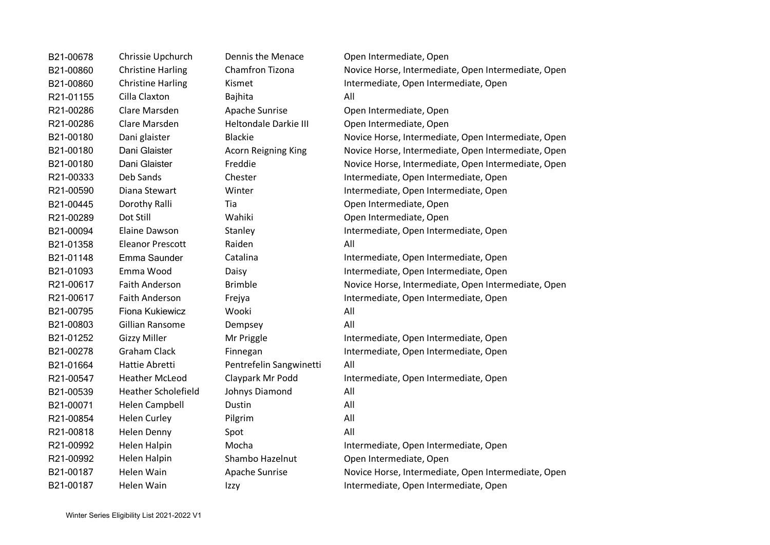| B21-00678 | Chrissie Upchurch          | <b>Dennis the Menace</b>     | Open Intermediate, Open                             |
|-----------|----------------------------|------------------------------|-----------------------------------------------------|
| B21-00860 | <b>Christine Harling</b>   | Chamfron Tizona              | Novice Horse, Intermediate, Open Intermediate, Open |
| B21-00860 | <b>Christine Harling</b>   | Kismet                       | Intermediate, Open Intermediate, Open               |
| R21-01155 | Cilla Claxton              | <b>Bajhita</b>               | All                                                 |
| R21-00286 | Clare Marsden              | Apache Sunrise               | Open Intermediate, Open                             |
| R21-00286 | Clare Marsden              | <b>Heltondale Darkie III</b> | Open Intermediate, Open                             |
| B21-00180 | Dani glaister              | <b>Blackie</b>               | Novice Horse, Intermediate, Open Intermediate, Open |
| B21-00180 | Dani Glaister              | <b>Acorn Reigning King</b>   | Novice Horse, Intermediate, Open Intermediate, Open |
| B21-00180 | Dani Glaister              | Freddie                      | Novice Horse, Intermediate, Open Intermediate, Open |
| R21-00333 | Deb Sands                  | Chester                      | Intermediate, Open Intermediate, Open               |
| R21-00590 | Diana Stewart              | Winter                       | Intermediate, Open Intermediate, Open               |
| B21-00445 | Dorothy Ralli              | Tia                          | Open Intermediate, Open                             |
| R21-00289 | Dot Still                  | Wahiki                       | Open Intermediate, Open                             |
| B21-00094 | Elaine Dawson              | Stanley                      | Intermediate, Open Intermediate, Open               |
| B21-01358 | <b>Eleanor Prescott</b>    | Raiden                       | All                                                 |
| B21-01148 | Emma Saunder               | Catalina                     | Intermediate, Open Intermediate, Open               |
| B21-01093 | Emma Wood                  | Daisy                        | Intermediate, Open Intermediate, Open               |
| R21-00617 | <b>Faith Anderson</b>      | <b>Brimble</b>               | Novice Horse, Intermediate, Open Intermediate, Open |
| R21-00617 | <b>Faith Anderson</b>      | Frejya                       | Intermediate, Open Intermediate, Open               |
| B21-00795 | Fiona Kukiewicz            | Wooki                        | All                                                 |
| B21-00803 | Gillian Ransome            | Dempsey                      | All                                                 |
| B21-01252 | <b>Gizzy Miller</b>        | Mr Priggle                   | Intermediate, Open Intermediate, Open               |
| B21-00278 | <b>Graham Clack</b>        | Finnegan                     | Intermediate, Open Intermediate, Open               |
| B21-01664 | Hattie Abretti             | Pentrefelin Sangwinetti      | All                                                 |
| R21-00547 | <b>Heather McLeod</b>      | Claypark Mr Podd             | Intermediate, Open Intermediate, Open               |
| B21-00539 | <b>Heather Scholefield</b> | Johnys Diamond               | All                                                 |
| B21-00071 | <b>Helen Campbell</b>      | Dustin                       | All                                                 |
| R21-00854 | <b>Helen Curley</b>        | Pilgrim                      | All                                                 |
| R21-00818 | Helen Denny                | Spot                         | All                                                 |
| R21-00992 | Helen Halpin               | Mocha                        | Intermediate, Open Intermediate, Open               |
| R21-00992 | Helen Halpin               | Shambo Hazelnut              | Open Intermediate, Open                             |
| B21-00187 | Helen Wain                 | Apache Sunrise               | Novice Horse, Intermediate, Open Intermediate, Open |
| B21-00187 | Helen Wain                 | Izzy                         | Intermediate, Open Intermediate, Open               |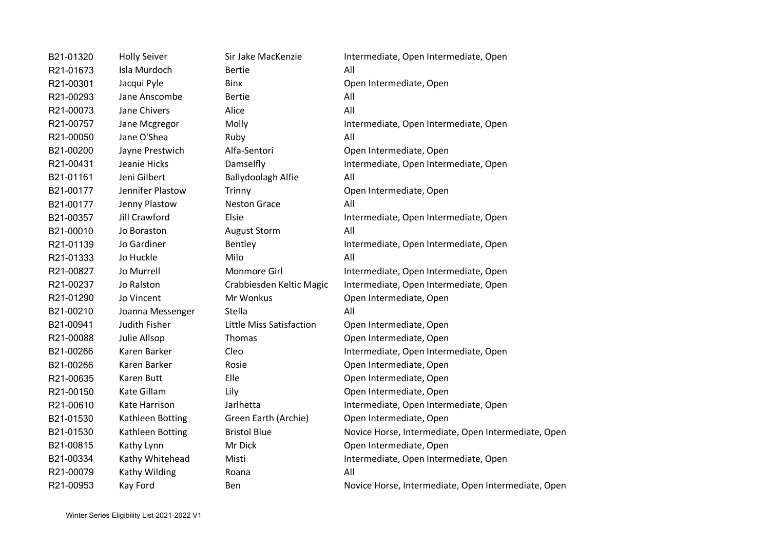| B21-01320 | <b>Holly Seiver</b> | Sir Jake MacKenzie       | Intermediate, Open Intermediate, Open               |
|-----------|---------------------|--------------------------|-----------------------------------------------------|
| R21-01673 | Isla Murdoch        | <b>Bertie</b>            | All                                                 |
| R21-00301 | Jacqui Pyle         | <b>Binx</b>              | Open Intermediate, Open                             |
| R21-00293 | Jane Anscombe       | <b>Bertie</b>            | All                                                 |
| R21-00073 | Jane Chivers        | Alice                    | All                                                 |
| R21-00757 | Jane Mcgregor       | Molly                    | Intermediate, Open Intermediate, Open               |
| R21-00050 | Jane O'Shea         | Ruby                     | All                                                 |
| B21-00200 | Jayne Prestwich     | Alfa-Sentori             | Open Intermediate, Open                             |
| R21-00431 | Jeanie Hicks        | Damselfly                | Intermediate, Open Intermediate, Open               |
| B21-01161 | Jeni Gilbert        | Ballydoolagh Alfie       | All                                                 |
| B21-00177 | Jennifer Plastow    | Trinny                   | Open Intermediate, Open                             |
| B21-00177 | Jenny Plastow       | <b>Neston Grace</b>      | All                                                 |
| B21-00357 | Jill Crawford       | Elsie                    | Intermediate, Open Intermediate, Open               |
| B21-00010 | Jo Boraston         | <b>August Storm</b>      | All                                                 |
| R21-01139 | Jo Gardiner         | Bentley                  | Intermediate, Open Intermediate, Open               |
| R21-01333 | Jo Huckle           | Milo                     | All                                                 |
| R21-00827 | Jo Murrell          | Monmore Girl             | Intermediate, Open Intermediate, Open               |
| R21-00237 | Jo Ralston          | Crabbiesden Keltic Magic | Intermediate, Open Intermediate, Open               |
| R21-01290 | Jo Vincent          | Mr Wonkus                | Open Intermediate, Open                             |
| B21-00210 | Joanna Messenger    | Stella                   | All                                                 |
| B21-00941 | Judith Fisher       | Little Miss Satisfaction | Open Intermediate, Open                             |
| R21-00088 | Julie Allsop        | Thomas                   | Open Intermediate, Open                             |
| B21-00266 | Karen Barker        | Cleo                     | Intermediate, Open Intermediate, Open               |
| B21-00266 | Karen Barker        | Rosie                    | Open Intermediate, Open                             |
| R21-00635 | <b>Karen Butt</b>   | Elle                     | Open Intermediate, Open                             |
| R21-00150 | Kate Gillam         | Lily                     | Open Intermediate, Open                             |
| R21-00610 | Kate Harrison       | Jarlhetta                | Intermediate, Open Intermediate, Open               |
| B21-01530 | Kathleen Botting    | Green Earth (Archie)     | Open Intermediate, Open                             |
| B21-01530 | Kathleen Botting    | <b>Bristol Blue</b>      | Novice Horse, Intermediate, Open Intermediate, Open |
| B21-00815 | Kathy Lynn          | Mr Dick                  | Open Intermediate, Open                             |
| B21-00334 | Kathy Whitehead     | Misti                    | Intermediate, Open Intermediate, Open               |
| R21-00079 | Kathy Wilding       | Roana                    | All                                                 |
| R21-00953 | Kay Ford            | Ben                      | Novice Horse, Intermediate, Open Intermediate, Open |
|           |                     |                          |                                                     |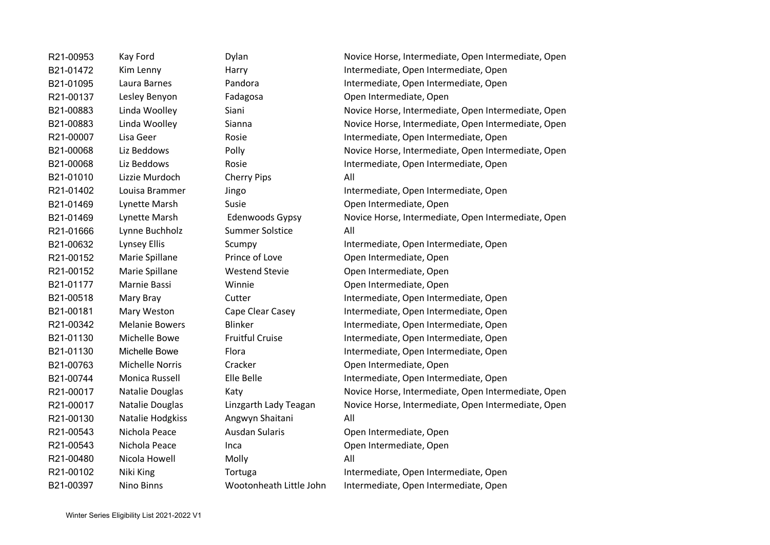B21-01010 Lizzie Murdoch Cherry Pips All R21-01666 Lynne Buchholz Summer Solstice All R21-00130 Natalie Hodgkiss Angwyn Shaitani All R21-00480 Nicola Howell Molly Molly All

R21-00953 Kay Ford Dylan Device Horse, Intermediate, Open Intermediate, Open B21-01472 Kim Lenny Harry Harry Intermediate, Open Intermediate, Open B<sub>21</sub>-01095 Laura Barnes Pandora Pandora Intermediate, Open Intermediate, Open R21-00137 Lesley Benyon Fadagosa Open Intermediate, Open B21-00883 Linda Woolley Siani Siani Novice Horse, Intermediate, Open Intermediate, Open B21-00883 Linda Woolley Sianna Sianna Novice Horse, Intermediate, Open Intermediate, Open R21-00007 Lisa Geer Rosie Rosie Intermediate, Open Intermediate, Open Intermediate, Open B21-00068 Liz Beddows Polly Polly Polly Rovice Horse, Intermediate, Open Intermediate, Open B21-00068 Liz Beddows Rosie Rosie Rosie Intermediate, Open Intermediate, Open R21-01402 Louisa Brammer Jingo Intermediate, Open Intermediate, Open B21-01469 Lynette Marsh Susie Susie Open Intermediate, Open B21-01469 Lynette Marsh Edenwoods Gypsy Novice Horse, Intermediate, Open Intermediate, Open B21-00632 Lynsey Ellis Scumpy Scumpy Intermediate, Open Intermediate, Open R21-00152 Marie Spillane Prince of Love Open Intermediate, Open R21-00152 Marie Spillane Westend Stevie Open Intermediate, Open B21-01177 Marnie Bassi Winnie Open Intermediate, Open B21-00518 Mary Bray Cutter Cutter Intermediate, Open Intermediate, Open B21-00181 Mary Weston Cape Clear Casey Intermediate, Open Intermediate, Open R21-00342 Melanie Bowers Blinker Busings Blinker Intermediate, Open Intermediate, Open B21-01130 Michelle Bowe Fruitful Cruise Intermediate, Open Intermediate, Open B21-01130 Michelle Bowe Flora Flora Intermediate, Open Intermediate, Open B21-00763 Michelle Norris Cracker Cracker Open Intermediate, Open B21-00744 Monica Russell Elle Belle Elle Intermediate, Open Intermediate, Open R21-00017 Natalie Douglas Katy Katy Novice Horse, Intermediate, Open Intermediate, Open R21-00017 Natalie Douglas Linzgarth Lady Teagan Novice Horse, Intermediate, Open Intermediate, Open R21-00543 Nichola Peace Ausdan Sularis Open Intermediate, Open R21-00543 Nichola Peace Inca Inca Open Intermediate, Open R21-00102 Niki King Tortuga Intermediate, Open Intermediate, Open Intermediate, Open B21-00397 Nino Binns Wootonheath Little John Intermediate, Open Intermediate, Open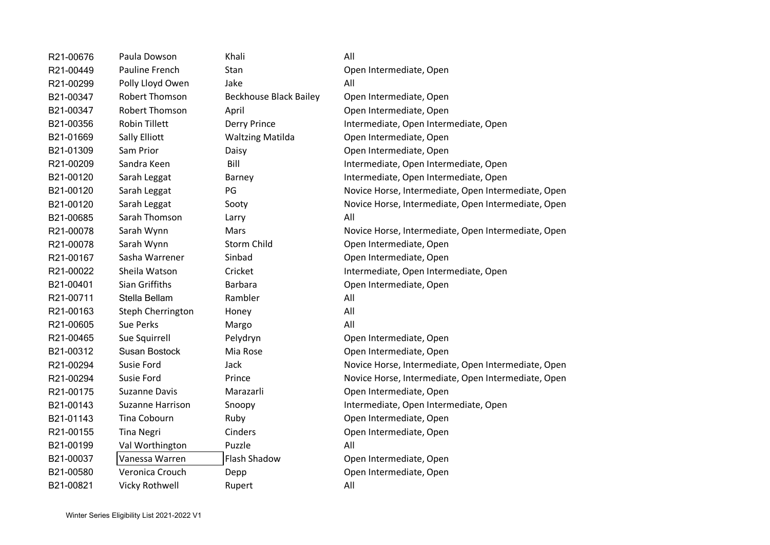| R21-00676 | Paula Dowson            | Khali                         | All                                                 |
|-----------|-------------------------|-------------------------------|-----------------------------------------------------|
| R21-00449 | Pauline French          | Stan                          | Open Intermediate, Open                             |
| R21-00299 | Polly Lloyd Owen        | Jake                          | All                                                 |
| B21-00347 | <b>Robert Thomson</b>   | <b>Beckhouse Black Bailey</b> | Open Intermediate, Open                             |
| B21-00347 | Robert Thomson          | April                         | Open Intermediate, Open                             |
| B21-00356 | <b>Robin Tillett</b>    | <b>Derry Prince</b>           | Intermediate, Open Intermediate, Open               |
| B21-01669 | Sally Elliott           | <b>Waltzing Matilda</b>       | Open Intermediate, Open                             |
| B21-01309 | Sam Prior               | Daisy                         | Open Intermediate, Open                             |
| R21-00209 | Sandra Keen             | Bill                          | Intermediate, Open Intermediate, Open               |
| B21-00120 | Sarah Leggat            | Barney                        | Intermediate, Open Intermediate, Open               |
| B21-00120 | Sarah Leggat            | PG                            | Novice Horse, Intermediate, Open Intermediate, Open |
| B21-00120 | Sarah Leggat            | Sooty                         | Novice Horse, Intermediate, Open Intermediate, Open |
| B21-00685 | Sarah Thomson           | Larry                         | All                                                 |
| R21-00078 | Sarah Wynn              | Mars                          | Novice Horse, Intermediate, Open Intermediate, Open |
| R21-00078 | Sarah Wynn              | Storm Child                   | Open Intermediate, Open                             |
| R21-00167 | Sasha Warrener          | Sinbad                        | Open Intermediate, Open                             |
| R21-00022 | Sheila Watson           | Cricket                       | Intermediate, Open Intermediate, Open               |
| B21-00401 | Sian Griffiths          | Barbara                       | Open Intermediate, Open                             |
| R21-00711 | Stella Bellam           | Rambler                       | All                                                 |
| R21-00163 | Steph Cherrington       | Honey                         | All                                                 |
| R21-00605 | Sue Perks               | Margo                         | All                                                 |
| R21-00465 | Sue Squirrell           | Pelydryn                      | Open Intermediate, Open                             |
| B21-00312 | Susan Bostock           | Mia Rose                      | Open Intermediate, Open                             |
| R21-00294 | Susie Ford              | Jack                          | Novice Horse, Intermediate, Open Intermediate, Open |
| R21-00294 | Susie Ford              | Prince                        | Novice Horse, Intermediate, Open Intermediate, Open |
| R21-00175 | <b>Suzanne Davis</b>    | Marazarli                     | Open Intermediate, Open                             |
| B21-00143 | <b>Suzanne Harrison</b> | Snoopy                        | Intermediate, Open Intermediate, Open               |
| B21-01143 | Tina Cobourn            | Ruby                          | Open Intermediate, Open                             |
| R21-00155 | <b>Tina Negri</b>       | Cinders                       | Open Intermediate, Open                             |
| B21-00199 | Val Worthington         | Puzzle                        | All                                                 |
| B21-00037 | Vanessa Warren          | <b>Flash Shadow</b>           | Open Intermediate, Open                             |
| B21-00580 | Veronica Crouch         | Depp                          | Open Intermediate, Open                             |
| B21-00821 | Vicky Rothwell          | Rupert                        | All                                                 |
|           |                         |                               |                                                     |